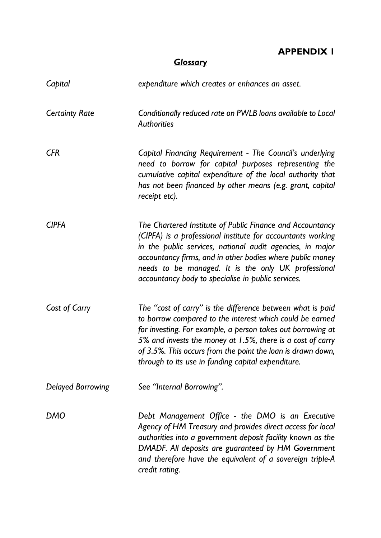**APPENDIX 1** 

## *Glossary*

| Capital                  | expenditure which creates or enhances an asset.                                                                                                                                                                                                                                                                                                                          |
|--------------------------|--------------------------------------------------------------------------------------------------------------------------------------------------------------------------------------------------------------------------------------------------------------------------------------------------------------------------------------------------------------------------|
| <b>Certainty Rate</b>    | Conditionally reduced rate on PWLB loans available to Local<br><b>Authorities</b>                                                                                                                                                                                                                                                                                        |
| <b>CFR</b>               | Capital Financing Requirement - The Council's underlying<br>need to borrow for capital purposes representing the<br>cumulative capital expenditure of the local authority that<br>has not been financed by other means (e.g. grant, capital<br>receipt etc).                                                                                                             |
| <b>CIPFA</b>             | The Chartered Institute of Public Finance and Accountancy<br>(CIPFA) is a professional institute for accountants working<br>in the public services, national audit agencies, in major<br>accountancy firms, and in other bodies where public money<br>needs to be managed. It is the only UK professional<br>accountancy body to specialise in public services.          |
| Cost of Carry            | The "cost of carry" is the difference between what is paid<br>to borrow compared to the interest which could be earned<br>for investing. For example, a person takes out borrowing at<br>5% and invests the money at 1.5%, there is a cost of carry<br>of 3.5%. This occurs from the point the loan is drawn down,<br>through to its use in funding capital expenditure. |
| <b>Delayed Borrowing</b> | See "Internal Borrowing".                                                                                                                                                                                                                                                                                                                                                |
| DMO                      | Debt Management Office - the DMO is an Executive<br>Agency of HM Treasury and provides direct access for local<br>authorities into a government deposit facility known as the<br>DMADF. All deposits are guaranteed by HM Government<br>and therefore have the equivalent of a sovereign triple-A<br>credit rating.                                                      |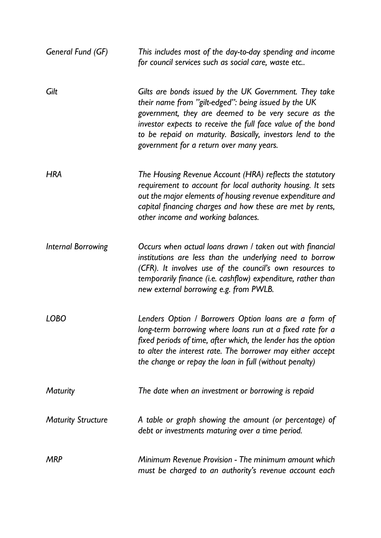| General Fund (GF)         | This includes most of the day-to-day spending and income<br>for council services such as social care, waste etc                                                                                                                                                                                                                                 |
|---------------------------|-------------------------------------------------------------------------------------------------------------------------------------------------------------------------------------------------------------------------------------------------------------------------------------------------------------------------------------------------|
| Gilt                      | Gilts are bonds issued by the UK Government. They take<br>their name from "gilt-edged": being issued by the UK<br>government, they are deemed to be very secure as the<br>investor expects to receive the full face value of the bond<br>to be repaid on maturity. Basically, investors lend to the<br>government for a return over many years. |
| <b>HRA</b>                | The Housing Revenue Account (HRA) reflects the statutory<br>requirement to account for local authority housing. It sets<br>out the major elements of housing revenue expenditure and<br>capital financing charges and how these are met by rents,<br>other income and working balances.                                                         |
| <b>Internal Borrowing</b> | Occurs when actual loans drawn / taken out with financial<br>institutions are less than the underlying need to borrow<br>(CFR). It involves use of the council's own resources to<br>temporarily finance (i.e. cashflow) expenditure, rather than<br>new external borrowing e.g. from PWLB.                                                     |
| <b>LOBO</b>               | Lenders Option / Borrowers Option loans are a form of<br>long-term borrowing where loans run at a fixed rate for a<br>fixed periods of time, after which, the lender has the option<br>to alter the interest rate. The borrower may either accept<br>the change or repay the loan in full (without penalty)                                     |
| <b>Maturity</b>           | The date when an investment or borrowing is repaid                                                                                                                                                                                                                                                                                              |
| <b>Maturity Structure</b> | A table or graph showing the amount (or percentage) of<br>debt or investments maturing over a time period.                                                                                                                                                                                                                                      |
| MRP                       | Minimum Revenue Provision - The minimum amount which<br>must be charged to an authority's revenue account each                                                                                                                                                                                                                                  |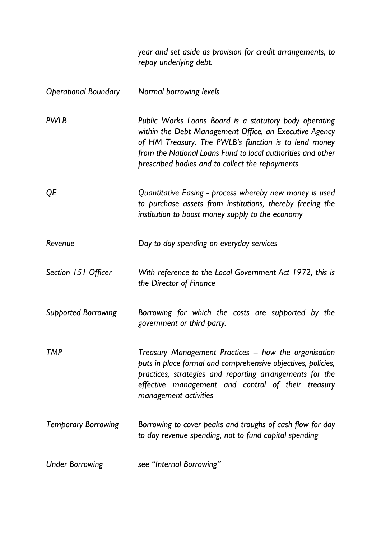|                             | year and set aside as provision for credit arrangements, to<br>repay underlying debt.                                                                                                                                                                                                      |
|-----------------------------|--------------------------------------------------------------------------------------------------------------------------------------------------------------------------------------------------------------------------------------------------------------------------------------------|
| <b>Operational Boundary</b> | Normal borrowing levels                                                                                                                                                                                                                                                                    |
| <b>PWLB</b>                 | Public Works Loans Board is a statutory body operating<br>within the Debt Management Office, an Executive Agency<br>of HM Treasury. The PWLB's function is to lend money<br>from the National Loans Fund to local authorities and other<br>prescribed bodies and to collect the repayments |
| QE                          | Quantitative Easing - process whereby new money is used<br>to purchase assets from institutions, thereby freeing the<br>institution to boost money supply to the economy                                                                                                                   |
| Revenue                     | Day to day spending on everyday services                                                                                                                                                                                                                                                   |
| Section 151 Officer         | With reference to the Local Government Act 1972, this is<br>the Director of Finance                                                                                                                                                                                                        |
| <b>Supported Borrowing</b>  | Borrowing for which the costs are supported by the<br>government or third party.                                                                                                                                                                                                           |
| TMP                         | Treasury Management Practices – how the organisation<br>puts in place formal and comprehensive objectives, policies,<br>practices, strategies and reporting arrangements for the<br>effective management and control of their treasury<br>management activities                            |
| <b>Temporary Borrowing</b>  | Borrowing to cover peaks and troughs of cash flow for day<br>to day revenue spending, not to fund capital spending                                                                                                                                                                         |
| <b>Under Borrowing</b>      | see "Internal Borrowing"                                                                                                                                                                                                                                                                   |